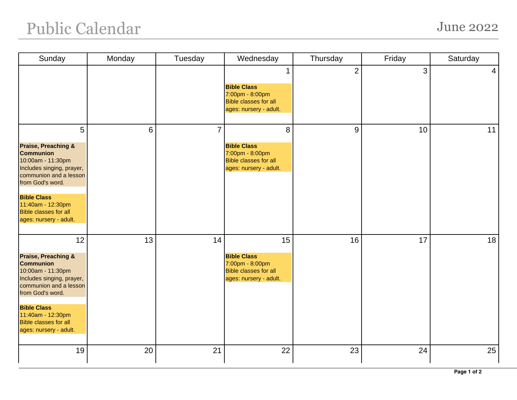## Public Calendar June 2022

| Sunday                                                                                                                                                                                                                                                        | Monday | Tuesday        | Wednesday                                                                                             | Thursday       | Friday | Saturday       |
|---------------------------------------------------------------------------------------------------------------------------------------------------------------------------------------------------------------------------------------------------------------|--------|----------------|-------------------------------------------------------------------------------------------------------|----------------|--------|----------------|
|                                                                                                                                                                                                                                                               |        |                | <b>Bible Class</b><br>7:00pm - 8:00pm<br><b>Bible classes for all</b><br>ages: nursery - adult.       | $\overline{2}$ | 3      | $\overline{4}$ |
| 5<br><b>Praise, Preaching &amp;</b><br><b>Communion</b><br>10:00am - 11:30pm<br>Includes singing, prayer,<br>communion and a lesson<br>from God's word.<br><b>Bible Class</b><br>11:40am - 12:30pm<br><b>Bible classes for all</b><br>ages: nursery - adult.  | 6      | $\overline{7}$ | 8<br><b>Bible Class</b><br>7:00pm - 8:00pm<br><b>Bible classes for all</b><br>ages: nursery - adult.  | 9              | 10     | 11             |
| 12<br><b>Praise, Preaching &amp;</b><br><b>Communion</b><br>10:00am - 11:30pm<br>Includes singing, prayer,<br>communion and a lesson<br>from God's word.<br><b>Bible Class</b><br>11:40am - 12:30pm<br><b>Bible classes for all</b><br>ages: nursery - adult. | 13     | 14             | 15<br><b>Bible Class</b><br>7:00pm - 8:00pm<br><b>Bible classes for all</b><br>ages: nursery - adult. | 16             | 17     | 18             |
| 19                                                                                                                                                                                                                                                            | 20     | 21             | 22                                                                                                    | 23             | 24     | 25             |